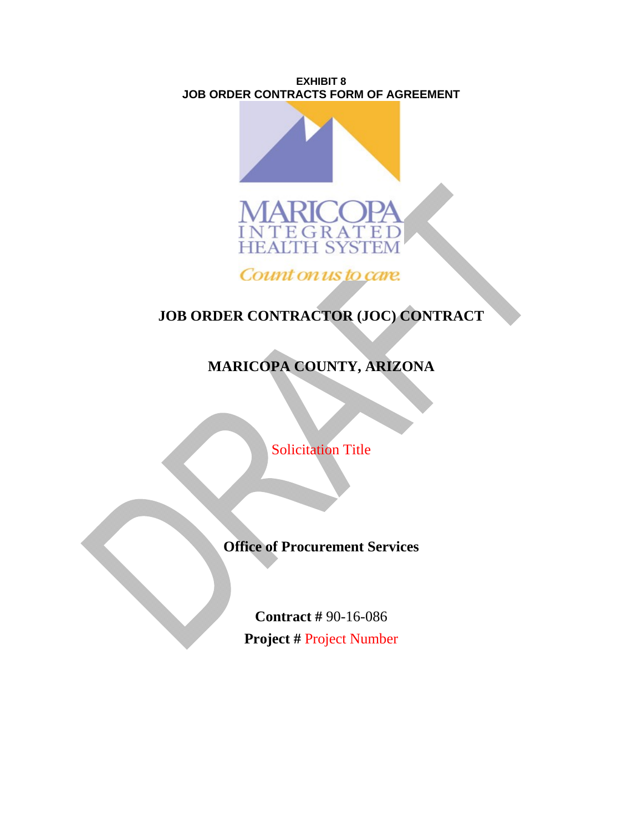**EXHIBIT 8 JOB ORDER CONTRACTS FORM OF AGREEMENT**





Count on us to care.

# **JOB ORDER CONTRACTOR (JOC) CONTRACT**

# **MARICOPA COUNTY, ARIZONA**

**Solicitation Title** 

**Office of Procurement Services** 

**Contract #** 90-16-086 **Project #** Project Number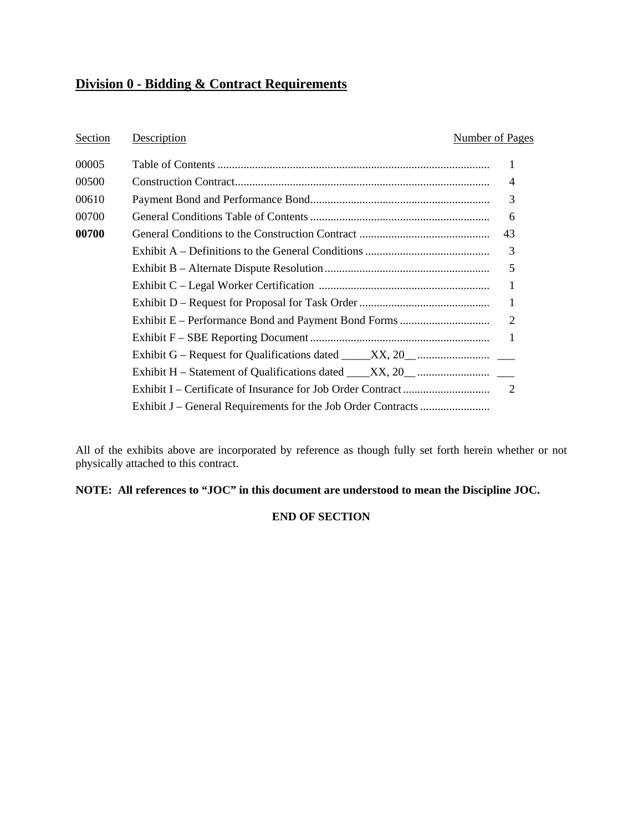## **Division 0 - Bidding & Contract Requirements**

#### Section Description **Number of Pages**

| 00005 |                                                                                           |                |
|-------|-------------------------------------------------------------------------------------------|----------------|
| 00500 |                                                                                           | $\overline{4}$ |
| 00610 |                                                                                           | 3              |
| 00700 |                                                                                           | 6              |
| 00700 |                                                                                           | 43             |
|       |                                                                                           | 3              |
|       |                                                                                           | 5              |
|       |                                                                                           | 1              |
|       |                                                                                           | $\mathbf{1}$   |
|       |                                                                                           |                |
|       |                                                                                           | $\overline{1}$ |
|       | Exhibit G – Request for Qualifications dated $\_\_\_\_XX$ , 20 $\_\_\_\_\_\_\_\_\_\_\_\_$ |                |
|       |                                                                                           |                |
|       |                                                                                           |                |
|       |                                                                                           |                |
|       |                                                                                           |                |

All of the exhibits above are incorporated by reference as though fully set forth herein whether or not physically attached to this contract.

## **NOTE: All references to "JOC" in this document are understood to mean the Discipline JOC.**

#### **END OF SECTION**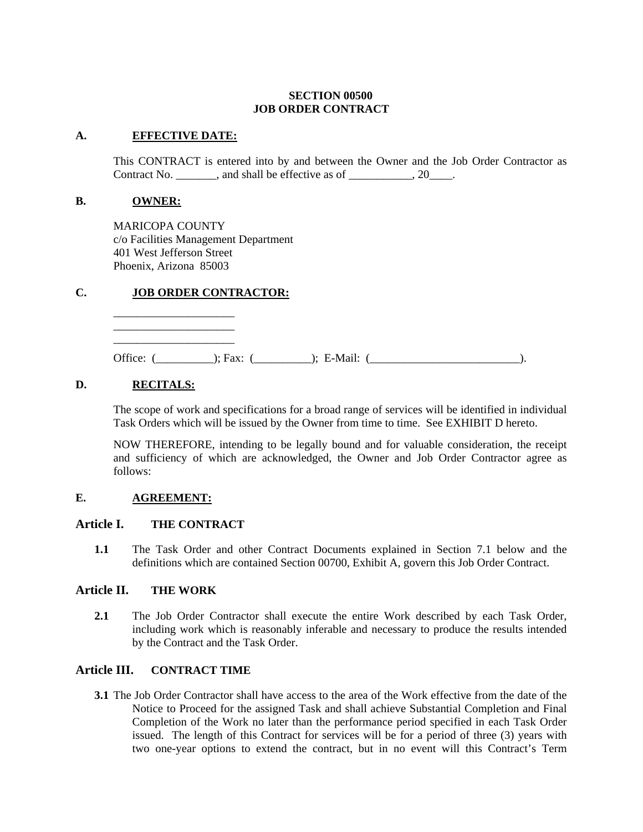#### **SECTION 00500 JOB ORDER CONTRACT**

#### **A. EFFECTIVE DATE:**

 This CONTRACT is entered into by and between the Owner and the Job Order Contractor as Contract No. \_\_\_\_\_\_\_, and shall be effective as of \_\_\_\_\_\_\_\_\_\_\_, 20\_\_\_\_.

#### **B. OWNER:**

MARICOPA COUNTY c/o Facilities Management Department 401 West Jefferson Street Phoenix, Arizona 85003

#### **C. JOB ORDER CONTRACTOR:**

\_\_\_\_\_\_\_\_\_\_\_\_\_\_\_\_\_\_\_\_\_ \_\_\_\_\_\_\_\_\_\_\_\_\_\_\_\_\_\_\_\_\_ \_\_\_\_\_\_\_\_\_\_\_\_\_\_\_\_\_\_\_\_\_

Office: (\_\_\_\_\_\_\_\_\_\_); Fax: (\_\_\_\_\_\_\_\_\_\_); E-Mail: (\_\_\_\_\_\_\_\_\_\_\_\_\_\_\_\_\_\_\_\_\_\_\_\_\_\_).

### **D. RECITALS:**

The scope of work and specifications for a broad range of services will be identified in individual Task Orders which will be issued by the Owner from time to time. See EXHIBIT D hereto.

NOW THEREFORE, intending to be legally bound and for valuable consideration, the receipt and sufficiency of which are acknowledged, the Owner and Job Order Contractor agree as follows:

#### **E. AGREEMENT:**

#### **Article I. THE CONTRACT**

**1.1** The Task Order and other Contract Documents explained in Section 7.1 below and the definitions which are contained Section 00700, Exhibit A, govern this Job Order Contract.

#### **Article II. THE WORK**

**2.1** The Job Order Contractor shall execute the entire Work described by each Task Order, including work which is reasonably inferable and necessary to produce the results intended by the Contract and the Task Order.

#### **Article III. CONTRACT TIME**

**3.1** The Job Order Contractor shall have access to the area of the Work effective from the date of the Notice to Proceed for the assigned Task and shall achieve Substantial Completion and Final Completion of the Work no later than the performance period specified in each Task Order issued. The length of this Contract for services will be for a period of three (3) years with two one-year options to extend the contract, but in no event will this Contract's Term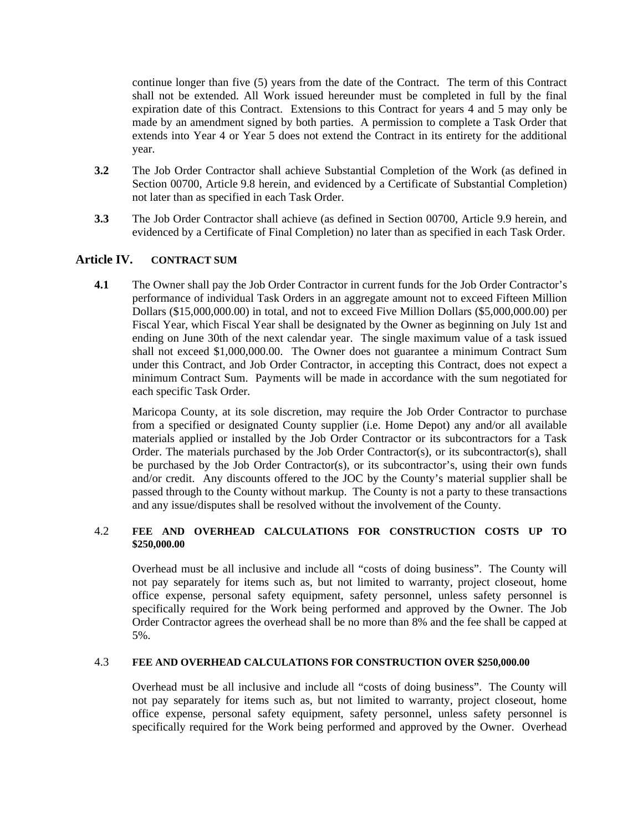continue longer than five (5) years from the date of the Contract. The term of this Contract shall not be extended. All Work issued hereunder must be completed in full by the final expiration date of this Contract. Extensions to this Contract for years 4 and 5 may only be made by an amendment signed by both parties. A permission to complete a Task Order that extends into Year 4 or Year 5 does not extend the Contract in its entirety for the additional year.

- **3.2** The Job Order Contractor shall achieve Substantial Completion of the Work (as defined in Section 00700, Article 9.8 herein, and evidenced by a Certificate of Substantial Completion) not later than as specified in each Task Order.
- **3.3** The Job Order Contractor shall achieve (as defined in Section 00700, Article 9.9 herein, and evidenced by a Certificate of Final Completion) no later than as specified in each Task Order.

### **Article IV. CONTRACT SUM**

**4.1** The Owner shall pay the Job Order Contractor in current funds for the Job Order Contractor's performance of individual Task Orders in an aggregate amount not to exceed Fifteen Million Dollars (\$15,000,000.00) in total, and not to exceed Five Million Dollars (\$5,000,000.00) per Fiscal Year, which Fiscal Year shall be designated by the Owner as beginning on July 1st and ending on June 30th of the next calendar year. The single maximum value of a task issued shall not exceed \$1,000,000.00. The Owner does not guarantee a minimum Contract Sum under this Contract, and Job Order Contractor, in accepting this Contract, does not expect a minimum Contract Sum. Payments will be made in accordance with the sum negotiated for each specific Task Order.

Maricopa County, at its sole discretion, may require the Job Order Contractor to purchase from a specified or designated County supplier (i.e. Home Depot) any and/or all available materials applied or installed by the Job Order Contractor or its subcontractors for a Task Order. The materials purchased by the Job Order Contractor(s), or its subcontractor(s), shall be purchased by the Job Order Contractor(s), or its subcontractor's, using their own funds and/or credit. Any discounts offered to the JOC by the County's material supplier shall be passed through to the County without markup. The County is not a party to these transactions and any issue/disputes shall be resolved without the involvement of the County.

#### 4.2 **FEE AND OVERHEAD CALCULATIONS FOR CONSTRUCTION COSTS UP TO \$250,000.00**

Overhead must be all inclusive and include all "costs of doing business". The County will not pay separately for items such as, but not limited to warranty, project closeout, home office expense, personal safety equipment, safety personnel, unless safety personnel is specifically required for the Work being performed and approved by the Owner. The Job Order Contractor agrees the overhead shall be no more than 8% and the fee shall be capped at 5%.

#### 4.3 **FEE AND OVERHEAD CALCULATIONS FOR CONSTRUCTION OVER \$250,000.00**

Overhead must be all inclusive and include all "costs of doing business". The County will not pay separately for items such as, but not limited to warranty, project closeout, home office expense, personal safety equipment, safety personnel, unless safety personnel is specifically required for the Work being performed and approved by the Owner. Overhead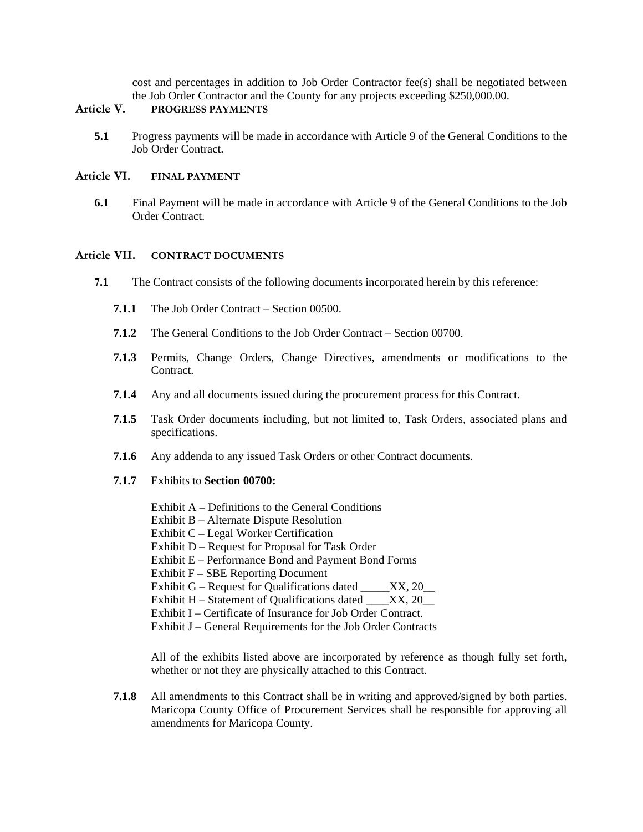cost and percentages in addition to Job Order Contractor fee(s) shall be negotiated between the Job Order Contractor and the County for any projects exceeding \$250,000.00.

#### **Article V. PROGRESS PAYMENTS**

**5.1** Progress payments will be made in accordance with Article 9 of the General Conditions to the Job Order Contract.

#### **Article VI. FINAL PAYMENT**

**6.1** Final Payment will be made in accordance with Article 9 of the General Conditions to the Job Order Contract.

#### **Article VII. CONTRACT DOCUMENTS**

- **7.1** The Contract consists of the following documents incorporated herein by this reference:
	- **7.1.1** The Job Order Contract Section 00500.
	- **7.1.2** The General Conditions to the Job Order Contract Section 00700.
	- **7.1.3** Permits, Change Orders, Change Directives, amendments or modifications to the Contract.
	- **7.1.4** Any and all documents issued during the procurement process for this Contract.
	- **7.1.5** Task Order documents including, but not limited to, Task Orders, associated plans and specifications.
	- **7.1.6** Any addenda to any issued Task Orders or other Contract documents.
	- **7.1.7** Exhibits to **Section 00700:**
		- Exhibit A Definitions to the General Conditions
		- Exhibit B Alternate Dispute Resolution
		- Exhibit C Legal Worker Certification
		- Exhibit D Request for Proposal for Task Order
		- Exhibit E Performance Bond and Payment Bond Forms
		- Exhibit F SBE Reporting Document
		- Exhibit G Request for Qualifications dated \_\_\_\_\_XX, 20\_\_\_
		- Exhibit H Statement of Qualifications dated  $\overline{\text{XX}}$ , 20
		- Exhibit I Certificate of Insurance for Job Order Contract.
		- Exhibit J General Requirements for the Job Order Contracts

All of the exhibits listed above are incorporated by reference as though fully set forth, whether or not they are physically attached to this Contract.

**7.1.8** All amendments to this Contract shall be in writing and approved/signed by both parties. Maricopa County Office of Procurement Services shall be responsible for approving all amendments for Maricopa County.